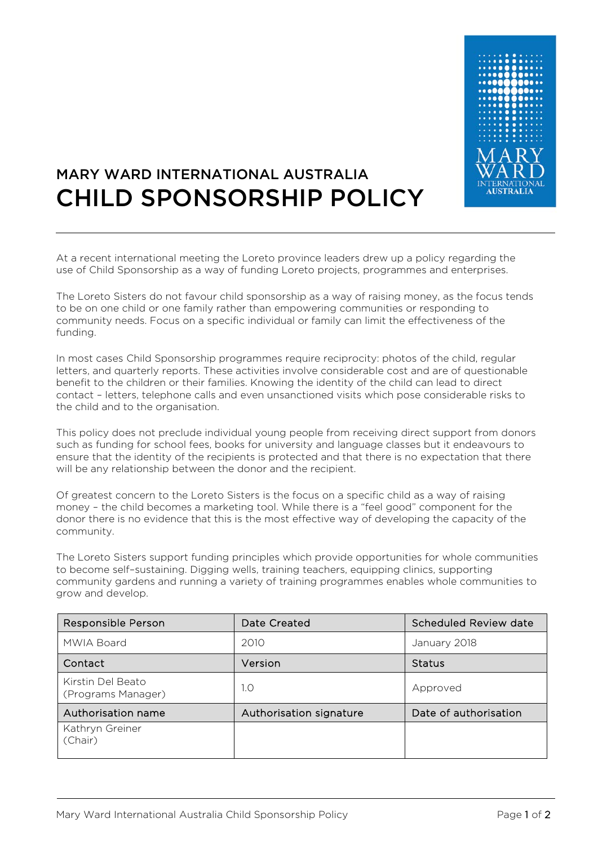

## MARY WARD INTERNATIONAL AUSTRALIA CHILD SPONSORSHIP POLICY

At a recent international meeting the Loreto province leaders drew up a policy regarding the use of Child Sponsorship as a way of funding Loreto projects, programmes and enterprises.

The Loreto Sisters do not favour child sponsorship as a way of raising money, as the focus tends to be on one child or one family rather than empowering communities or responding to community needs. Focus on a specific individual or family can limit the effectiveness of the funding.

In most cases Child Sponsorship programmes require reciprocity: photos of the child, regular letters, and quarterly reports. These activities involve considerable cost and are of questionable benefit to the children or their families. Knowing the identity of the child can lead to direct contact – letters, telephone calls and even unsanctioned visits which pose considerable risks to the child and to the organisation.

This policy does not preclude individual young people from receiving direct support from donors such as funding for school fees, books for university and language classes but it endeavours to ensure that the identity of the recipients is protected and that there is no expectation that there will be any relationship between the donor and the recipient.

Of greatest concern to the Loreto Sisters is the focus on a specific child as a way of raising money – the child becomes a marketing tool. While there is a "feel good" component for the donor there is no evidence that this is the most effective way of developing the capacity of the community.

The Loreto Sisters support funding principles which provide opportunities for whole communities to become self–sustaining. Digging wells, training teachers, equipping clinics, supporting community gardens and running a variety of training programmes enables whole communities to grow and develop.

| Responsible Person                      | Date Created            | Scheduled Review date |
|-----------------------------------------|-------------------------|-----------------------|
| MWIA Board                              | 2010                    | January 2018          |
| Contact                                 | Version                 | <b>Status</b>         |
| Kirstin Del Beato<br>(Programs Manager) | 1.0                     | Approved              |
| Authorisation name                      | Authorisation signature | Date of authorisation |
| Kathryn Greiner<br>(Chair)              |                         |                       |